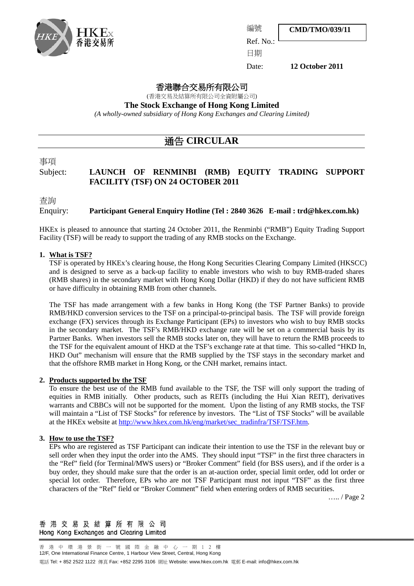

**CMD/TMO/039/11**

Ref. No.:

編號

日期

Date: **12 October 2011**

## 香港聯合交易所有限公司

(香港交易及結算所有限公司全資附屬公司)

**The Stock Exchange of Hong Kong Limited**

*(A wholly-owned subsidiary of Hong Kong Exchanges and Clearing Limited)*

# 通告 **CIRCULAR**

## 事項

## Subject: **LAUNCH OF RENMINBI (RMB) EQUITY TRADING SUPPORT FACILITY (TSF) ON 24 OCTOBER 2011**

査詢

## Enquiry: **Participant General Enquiry Hotline (Tel : 2840 3626 E-mail : trd@hkex.com.hk)**

HKEx is pleased to announce that starting 24 October 2011, the Renminbi ("RMB") Equity Trading Support Facility (TSF) will be ready to support the trading of any RMB stocks on the Exchange.

### **1. What is TSF?**

TSF is operated by HKEx's clearing house, the Hong Kong Securities Clearing Company Limited (HKSCC) and is designed to serve as a back-up facility to enable investors who wish to buy RMB-traded shares (RMB shares) in the secondary market with Hong Kong Dollar (HKD) if they do not have sufficient RMB or have difficulty in obtaining RMB from other channels.

The TSF has made arrangement with a few banks in Hong Kong (the TSF Partner Banks) to provide RMB/HKD conversion services to the TSF on a principal-to-principal basis. The TSF will provide foreign exchange (FX) services through its Exchange Participant (EPs) to investors who wish to buy RMB stocks in the secondary market. The TSF's RMB/HKD exchange rate will be set on a commercial basis by its Partner Banks. When investors sell the RMB stocks later on, they will have to return the RMB proceeds to the TSF for the equivalent amount of HKD at the TSF's exchange rate at that time. This so-called "HKD In, HKD Out" mechanism will ensure that the RMB supplied by the TSF stays in the secondary market and that the offshore RMB market in Hong Kong, or the CNH market, remains intact.

#### **2. Products supported by the TSF**

To ensure the best use of the RMB fund available to the TSF, the TSF will only support the trading of equities in RMB initially. Other products, such as REITs (including the Hui Xian REIT), derivatives warrants and CBBCs will not be supported for the moment. Upon the listing of any RMB stocks, the TSF will maintain a "List of TSF Stocks" for reference by investors. The "List of TSF Stocks" will be available at the HKEx website at [http://www.hkex.com.hk/eng/market/sec\\_tradinfra/TSF/TSF.htm.](http://www.hkex.com.hk/eng/market/sec_tradinfra/TSF/TSF.htm)

#### **3. How to use the TSF?**

EPs who are registered as TSF Participant can indicate their intention to use the TSF in the relevant buy or sell order when they input the order into the AMS. They should input "TSF" in the first three characters in the "Ref" field (for Terminal/MWS users) or "Broker Comment" field (for BSS users), and if the order is a buy order, they should make sure that the order is an at-auction order, special limit order, odd lot order or special lot order. Therefore, EPs who are not TSF Participant must not input "TSF" as the first three characters of the "Ref" field or "Broker Comment" field when entering orders of RMB securities.

….. / Page 2

香港交易及結算所有限公司 Hong Kong Exchanges and Clearing Limited